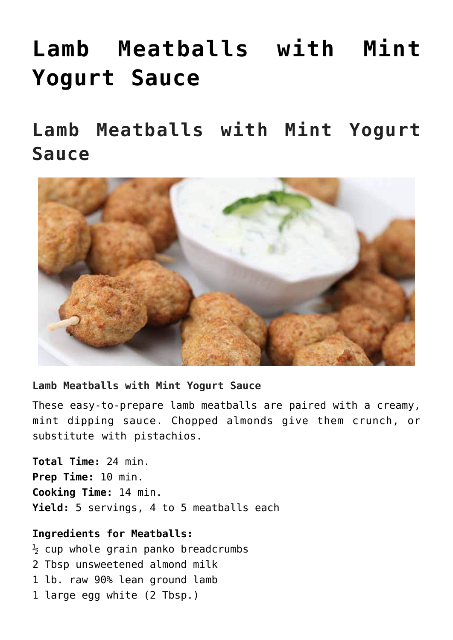# **[Lamb Meatballs with Mint](https://alethiatruefit.com/recipes/lamb-meatballs-with-mint-yogurt-sauce/) [Yogurt Sauce](https://alethiatruefit.com/recipes/lamb-meatballs-with-mint-yogurt-sauce/)**

**Lamb Meatballs with Mint Yogurt Sauce**



#### **Lamb Meatballs with Mint Yogurt Sauce**

These easy-to-prepare lamb meatballs are paired with a creamy, mint dipping sauce. Chopped almonds give them crunch, or substitute with pistachios.

**Total Time:** 24 min. **Prep Time:** 10 min. **Cooking Time:** 14 min. **Yield:** 5 servings, 4 to 5 meatballs each

## **Ingredients for Meatballs:**

 $\frac{1}{2}$  cup whole grain panko breadcrumbs 2 Tbsp unsweetened almond milk 1 lb. raw 90% lean ground lamb 1 large egg white (2 Tbsp.)